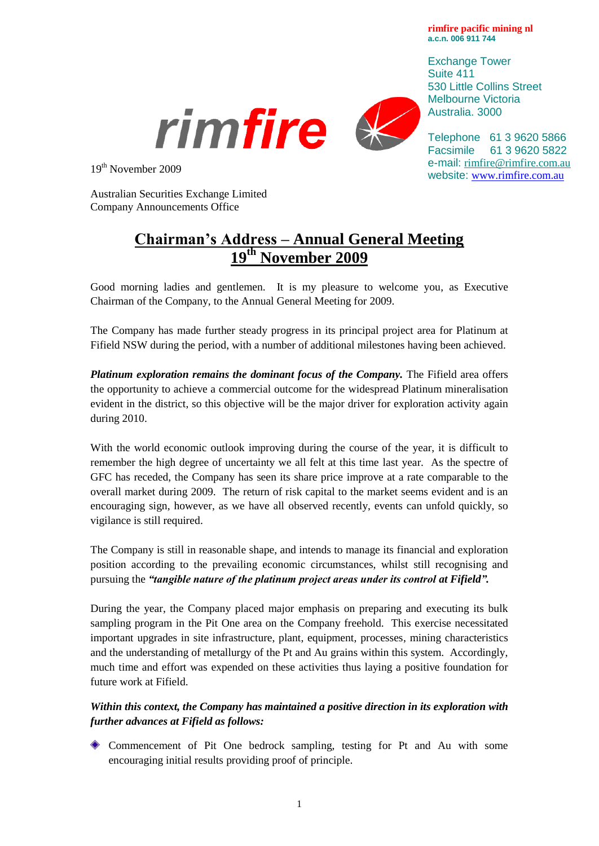**rimfire pacific mining nl a.c.n. 006 911 744**

Exchange Tower Suite 411 530 Little Collins Street Melbourne Victoria Australia. 3000





Telephone 61 3 9620 5866 Facsimile 61 3 9620 5822 e-mail: [rimfire@rimfire.com.au](mailto:rimfire@rimfire.com.au) website: [www.rimfire.com.au](http://www.rimfire.com.au/)

19th November 2009

Australian Securities Exchange Limited Company Announcements Office

## **Chairman's Address – Annual General Meeting 19th November 2009**

Good morning ladies and gentlemen. It is my pleasure to welcome you, as Executive Chairman of the Company, to the Annual General Meeting for 2009.

The Company has made further steady progress in its principal project area for Platinum at Fifield NSW during the period, with a number of additional milestones having been achieved.

*Platinum exploration remains the dominant focus of the Company.* The Fifield area offers the opportunity to achieve a commercial outcome for the widespread Platinum mineralisation evident in the district, so this objective will be the major driver for exploration activity again during 2010.

With the world economic outlook improving during the course of the year, it is difficult to remember the high degree of uncertainty we all felt at this time last year. As the spectre of GFC has receded, the Company has seen its share price improve at a rate comparable to the overall market during 2009. The return of risk capital to the market seems evident and is an encouraging sign, however, as we have all observed recently, events can unfold quickly, so vigilance is still required.

The Company is still in reasonable shape, and intends to manage its financial and exploration position according to the prevailing economic circumstances, whilst still recognising and pursuing the *"tangible nature of the platinum project areas under its control at Fifield".*

During the year, the Company placed major emphasis on preparing and executing its bulk sampling program in the Pit One area on the Company freehold. This exercise necessitated important upgrades in site infrastructure, plant, equipment, processes, mining characteristics and the understanding of metallurgy of the Pt and Au grains within this system. Accordingly, much time and effort was expended on these activities thus laying a positive foundation for future work at Fifield.

## *Within this context, the Company has maintained a positive direction in its exploration with further advances at Fifield as follows:*

Commencement of Pit One bedrock sampling, testing for Pt and Au with some encouraging initial results providing proof of principle.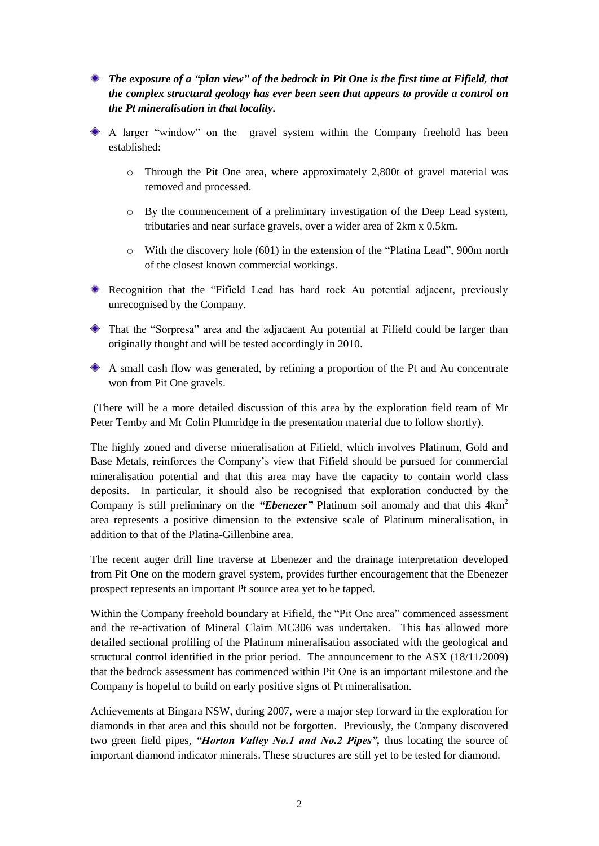- *The exposure of a "plan view" of the bedrock in Pit One is the first time at Fifield, that the complex structural geology has ever been seen that appears to provide a control on the Pt mineralisation in that locality.*
- A larger "window" on the gravel system within the Company freehold has been established:
	- o Through the Pit One area, where approximately 2,800t of gravel material was removed and processed.
	- o By the commencement of a preliminary investigation of the Deep Lead system, tributaries and near surface gravels, over a wider area of 2km x 0.5km.
	- o With the discovery hole (601) in the extension of the "Platina Lead", 900m north of the closest known commercial workings.
- Recognition that the "Fifield Lead has hard rock Au potential adjacent, previously unrecognised by the Company.
- That the "Sorpresa" area and the adjacaent Au potential at Fifield could be larger than originally thought and will be tested accordingly in 2010.
- A small cash flow was generated, by refining a proportion of the Pt and Au concentrate won from Pit One gravels.

(There will be a more detailed discussion of this area by the exploration field team of Mr Peter Temby and Mr Colin Plumridge in the presentation material due to follow shortly).

The highly zoned and diverse mineralisation at Fifield, which involves Platinum, Gold and Base Metals, reinforces the Company's view that Fifield should be pursued for commercial mineralisation potential and that this area may have the capacity to contain world class deposits. In particular, it should also be recognised that exploration conducted by the Company is still preliminary on the *"Ebenezer*" Platinum soil anomaly and that this 4km<sup>2</sup> area represents a positive dimension to the extensive scale of Platinum mineralisation, in addition to that of the Platina-Gillenbine area.

The recent auger drill line traverse at Ebenezer and the drainage interpretation developed from Pit One on the modern gravel system, provides further encouragement that the Ebenezer prospect represents an important Pt source area yet to be tapped.

Within the Company freehold boundary at Fifield, the "Pit One area" commenced assessment and the re-activation of Mineral Claim MC306 was undertaken. This has allowed more detailed sectional profiling of the Platinum mineralisation associated with the geological and structural control identified in the prior period. The announcement to the ASX (18/11/2009) that the bedrock assessment has commenced within Pit One is an important milestone and the Company is hopeful to build on early positive signs of Pt mineralisation.

Achievements at Bingara NSW, during 2007, were a major step forward in the exploration for diamonds in that area and this should not be forgotten. Previously, the Company discovered two green field pipes, *"Horton Valley No.1 and No.2 Pipes",* thus locating the source of important diamond indicator minerals. These structures are still yet to be tested for diamond.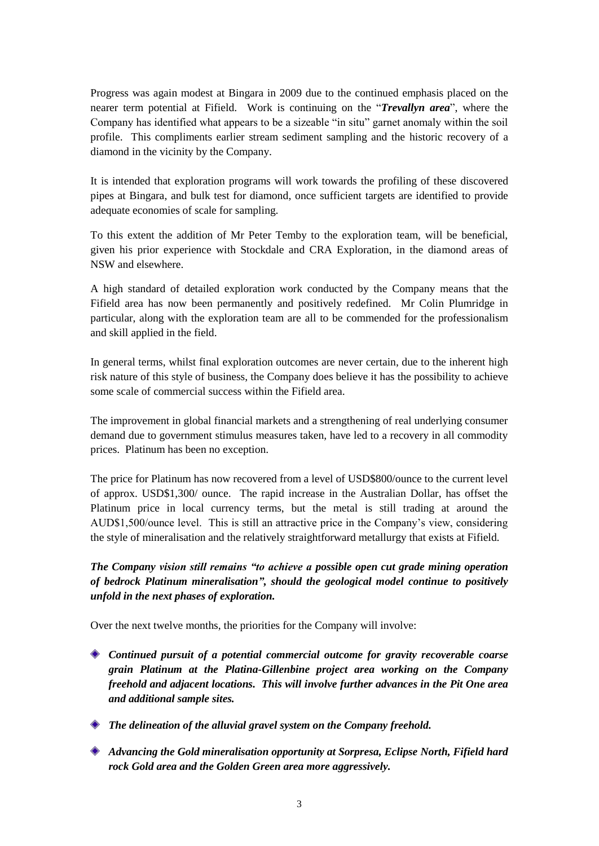Progress was again modest at Bingara in 2009 due to the continued emphasis placed on the nearer term potential at Fifield. Work is continuing on the "*Trevallyn area*", where the Company has identified what appears to be a sizeable "in situ" garnet anomaly within the soil profile. This compliments earlier stream sediment sampling and the historic recovery of a diamond in the vicinity by the Company.

It is intended that exploration programs will work towards the profiling of these discovered pipes at Bingara, and bulk test for diamond, once sufficient targets are identified to provide adequate economies of scale for sampling.

To this extent the addition of Mr Peter Temby to the exploration team, will be beneficial, given his prior experience with Stockdale and CRA Exploration, in the diamond areas of NSW and elsewhere.

A high standard of detailed exploration work conducted by the Company means that the Fifield area has now been permanently and positively redefined. Mr Colin Plumridge in particular, along with the exploration team are all to be commended for the professionalism and skill applied in the field.

In general terms, whilst final exploration outcomes are never certain, due to the inherent high risk nature of this style of business, the Company does believe it has the possibility to achieve some scale of commercial success within the Fifield area.

The improvement in global financial markets and a strengthening of real underlying consumer demand due to government stimulus measures taken, have led to a recovery in all commodity prices. Platinum has been no exception.

The price for Platinum has now recovered from a level of USD\$800/ounce to the current level of approx. USD\$1,300/ ounce. The rapid increase in the Australian Dollar, has offset the Platinum price in local currency terms, but the metal is still trading at around the AUD\$1,500/ounce level. This is still an attractive price in the Company's view, considering the style of mineralisation and the relatively straightforward metallurgy that exists at Fifield.

*The Company vision still remains "to achieve a possible open cut grade mining operation of bedrock Platinum mineralisation", should the geological model continue to positively unfold in the next phases of exploration.*

Over the next twelve months, the priorities for the Company will involve:

- *Continued pursuit of a potential commercial outcome for gravity recoverable coarse grain Platinum at the Platina-Gillenbine project area working on the Company freehold and adjacent locations. This will involve further advances in the Pit One area and additional sample sites.*
- *The delineation of the alluvial gravel system on the Company freehold.*
- *Advancing the Gold mineralisation opportunity at Sorpresa, Eclipse North, Fifield hard rock Gold area and the Golden Green area more aggressively.*